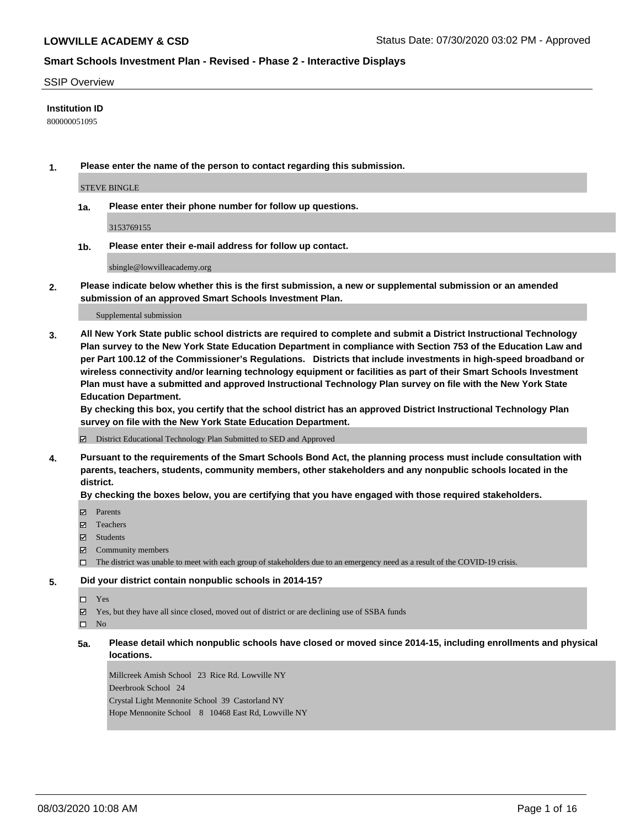#### SSIP Overview

#### **Institution ID**

800000051095

**1. Please enter the name of the person to contact regarding this submission.**

#### STEVE BINGLE

**1a. Please enter their phone number for follow up questions.**

3153769155

**1b. Please enter their e-mail address for follow up contact.**

sbingle@lowvilleacademy.org

**2. Please indicate below whether this is the first submission, a new or supplemental submission or an amended submission of an approved Smart Schools Investment Plan.**

#### Supplemental submission

**3. All New York State public school districts are required to complete and submit a District Instructional Technology Plan survey to the New York State Education Department in compliance with Section 753 of the Education Law and per Part 100.12 of the Commissioner's Regulations. Districts that include investments in high-speed broadband or wireless connectivity and/or learning technology equipment or facilities as part of their Smart Schools Investment Plan must have a submitted and approved Instructional Technology Plan survey on file with the New York State Education Department.** 

**By checking this box, you certify that the school district has an approved District Instructional Technology Plan survey on file with the New York State Education Department.**

District Educational Technology Plan Submitted to SED and Approved

**4. Pursuant to the requirements of the Smart Schools Bond Act, the planning process must include consultation with parents, teachers, students, community members, other stakeholders and any nonpublic schools located in the district.** 

#### **By checking the boxes below, you are certifying that you have engaged with those required stakeholders.**

- **Parents**
- Teachers
- Students
- $\boxtimes$  Community members
- The district was unable to meet with each group of stakeholders due to an emergency need as a result of the COVID-19 crisis.

# **5. Did your district contain nonpublic schools in 2014-15?**

Yes

Yes, but they have all since closed, moved out of district or are declining use of SSBA funds

 $\square$  No

**5a. Please detail which nonpublic schools have closed or moved since 2014-15, including enrollments and physical locations.**

Millcreek Amish School 23 Rice Rd. Lowville NY Deerbrook School 24 Crystal Light Mennonite School 39 Castorland NY Hope Mennonite School 8 10468 East Rd, Lowville NY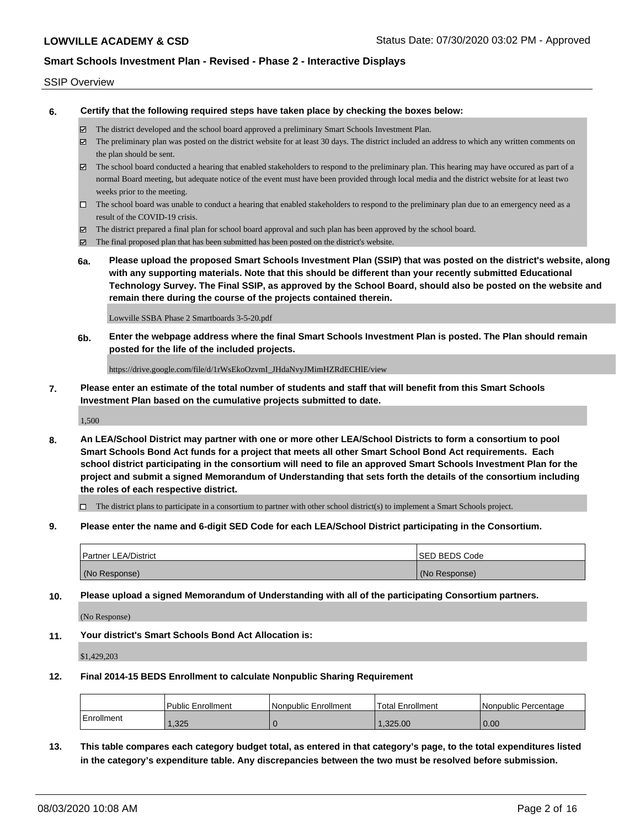#### SSIP Overview

**6. Certify that the following required steps have taken place by checking the boxes below:**

- The district developed and the school board approved a preliminary Smart Schools Investment Plan.
- The preliminary plan was posted on the district website for at least 30 days. The district included an address to which any written comments on the plan should be sent.
- The school board conducted a hearing that enabled stakeholders to respond to the preliminary plan. This hearing may have occured as part of a normal Board meeting, but adequate notice of the event must have been provided through local media and the district website for at least two weeks prior to the meeting.
- $\Box$  The school board was unable to conduct a hearing that enabled stakeholders to respond to the preliminary plan due to an emergency need as a result of the COVID-19 crisis.
- The district prepared a final plan for school board approval and such plan has been approved by the school board.
- $\boxtimes$  The final proposed plan that has been submitted has been posted on the district's website.
- **6a. Please upload the proposed Smart Schools Investment Plan (SSIP) that was posted on the district's website, along with any supporting materials. Note that this should be different than your recently submitted Educational Technology Survey. The Final SSIP, as approved by the School Board, should also be posted on the website and remain there during the course of the projects contained therein.**

Lowville SSBA Phase 2 Smartboards 3-5-20.pdf

**6b. Enter the webpage address where the final Smart Schools Investment Plan is posted. The Plan should remain posted for the life of the included projects.**

https://drive.google.com/file/d/1rWsEkoOzvmI\_JHdaNvyJMimHZRdECHlE/view

**7. Please enter an estimate of the total number of students and staff that will benefit from this Smart Schools Investment Plan based on the cumulative projects submitted to date.**

1,500

**8. An LEA/School District may partner with one or more other LEA/School Districts to form a consortium to pool Smart Schools Bond Act funds for a project that meets all other Smart School Bond Act requirements. Each school district participating in the consortium will need to file an approved Smart Schools Investment Plan for the project and submit a signed Memorandum of Understanding that sets forth the details of the consortium including the roles of each respective district.**

 $\Box$  The district plans to participate in a consortium to partner with other school district(s) to implement a Smart Schools project.

**9. Please enter the name and 6-digit SED Code for each LEA/School District participating in the Consortium.**

| <b>Partner LEA/District</b> | <b>ISED BEDS Code</b> |
|-----------------------------|-----------------------|
| (No Response)               | (No Response)         |

**10. Please upload a signed Memorandum of Understanding with all of the participating Consortium partners.**

(No Response)

**11. Your district's Smart Schools Bond Act Allocation is:**

\$1,429,203

#### **12. Final 2014-15 BEDS Enrollment to calculate Nonpublic Sharing Requirement**

|                   | <b>Public Enrollment</b> | l Nonpublic Enrollment | <b>Total Enrollment</b> | l Nonpublic Percentage |
|-------------------|--------------------------|------------------------|-------------------------|------------------------|
| <b>Enrollment</b> | ,325                     |                        | .325.00                 | 0.00                   |

**13. This table compares each category budget total, as entered in that category's page, to the total expenditures listed in the category's expenditure table. Any discrepancies between the two must be resolved before submission.**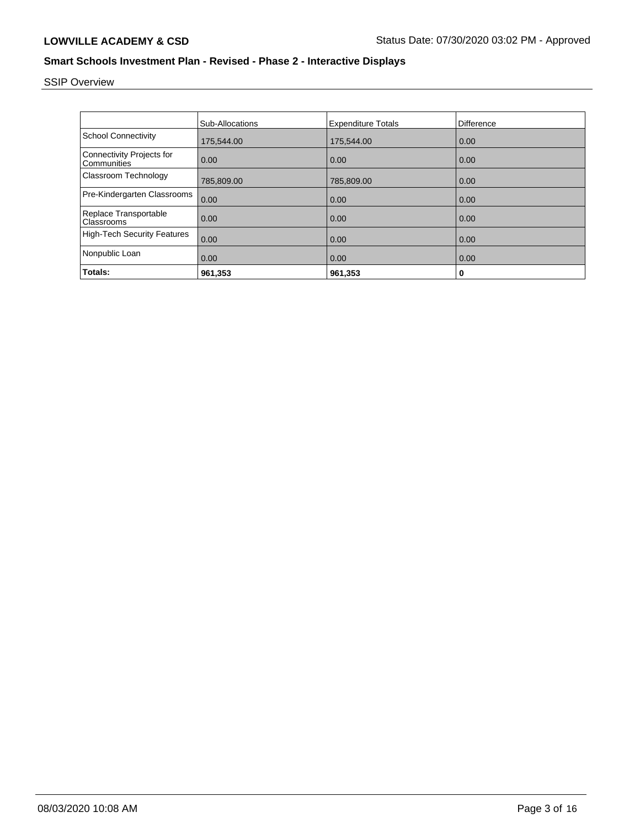# SSIP Overview

|                                                 | <b>Sub-Allocations</b> | <b>Expenditure Totals</b> | <b>Difference</b> |
|-------------------------------------------------|------------------------|---------------------------|-------------------|
| <b>School Connectivity</b>                      | 175,544.00             | 175,544.00                | 0.00              |
| <b>Connectivity Projects for</b><br>Communities | 0.00                   | 0.00                      | 0.00              |
| Classroom Technology                            | 785,809.00             | 785,809.00                | 0.00              |
| Pre-Kindergarten Classrooms                     | 0.00                   | 0.00                      | 0.00              |
| Replace Transportable<br>Classrooms             | 0.00                   | 0.00                      | 0.00              |
| <b>High-Tech Security Features</b>              | 0.00                   | 0.00                      | 0.00              |
| Nonpublic Loan                                  | 0.00                   | 0.00                      | 0.00              |
| Totals:                                         | 961,353                | 961,353                   | 0                 |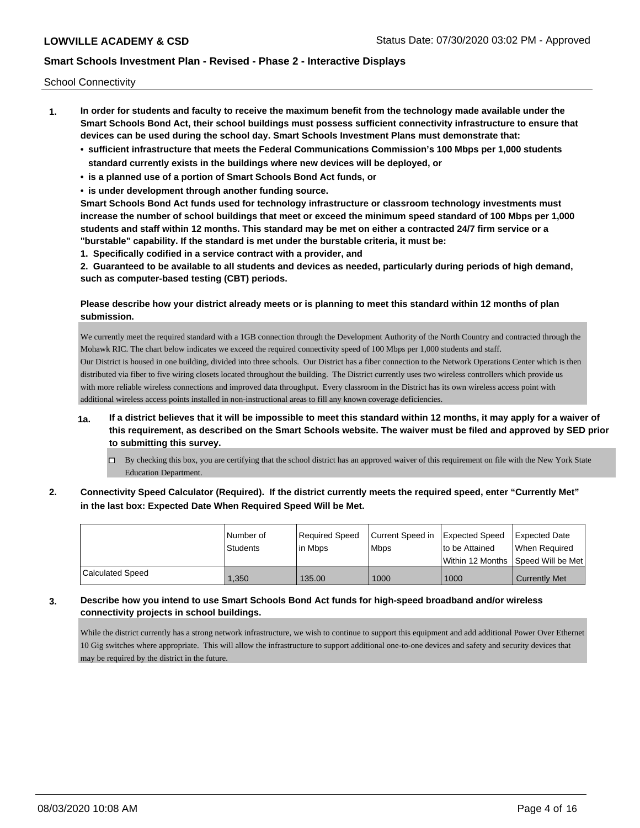School Connectivity

- **1. In order for students and faculty to receive the maximum benefit from the technology made available under the Smart Schools Bond Act, their school buildings must possess sufficient connectivity infrastructure to ensure that devices can be used during the school day. Smart Schools Investment Plans must demonstrate that:**
	- **• sufficient infrastructure that meets the Federal Communications Commission's 100 Mbps per 1,000 students standard currently exists in the buildings where new devices will be deployed, or**
	- **• is a planned use of a portion of Smart Schools Bond Act funds, or**
	- **• is under development through another funding source.**

**Smart Schools Bond Act funds used for technology infrastructure or classroom technology investments must increase the number of school buildings that meet or exceed the minimum speed standard of 100 Mbps per 1,000 students and staff within 12 months. This standard may be met on either a contracted 24/7 firm service or a "burstable" capability. If the standard is met under the burstable criteria, it must be:**

**1. Specifically codified in a service contract with a provider, and**

**2. Guaranteed to be available to all students and devices as needed, particularly during periods of high demand, such as computer-based testing (CBT) periods.**

#### **Please describe how your district already meets or is planning to meet this standard within 12 months of plan submission.**

We currently meet the required standard with a 1GB connection through the Development Authority of the North Country and contracted through the Mohawk RIC. The chart below indicates we exceed the required connectivity speed of 100 Mbps per 1,000 students and staff. Our District is housed in one building, divided into three schools. Our District has a fiber connection to the Network Operations Center which is then distributed via fiber to five wiring closets located throughout the building. The District currently uses two wireless controllers which provide us with more reliable wireless connections and improved data throughput. Every classroom in the District has its own wireless access point with additional wireless access points installed in non-instructional areas to fill any known coverage deficiencies.

- **1a. If a district believes that it will be impossible to meet this standard within 12 months, it may apply for a waiver of this requirement, as described on the Smart Schools website. The waiver must be filed and approved by SED prior to submitting this survey.**
	- $\Box$  By checking this box, you are certifying that the school district has an approved waiver of this requirement on file with the New York State Education Department.
- **2. Connectivity Speed Calculator (Required). If the district currently meets the required speed, enter "Currently Met" in the last box: Expected Date When Required Speed Will be Met.**

|                  | l Number of<br>Students | Required Speed<br>lin Mbps | Current Speed in Expected Speed<br><b>Mbps</b> | to be Attained | <b>Expected Date</b><br>When Reauired |
|------------------|-------------------------|----------------------------|------------------------------------------------|----------------|---------------------------------------|
|                  |                         |                            |                                                |                | Within 12 Months 1Speed Will be Met1  |
| Calculated Speed | .350                    | 135.00                     | 1000                                           | 1000           | <b>Currently Met</b>                  |

# **3. Describe how you intend to use Smart Schools Bond Act funds for high-speed broadband and/or wireless connectivity projects in school buildings.**

While the district currently has a strong network infrastructure, we wish to continue to support this equipment and add additional Power Over Ethernet 10 Gig switches where appropriate. This will allow the infrastructure to support additional one-to-one devices and safety and security devices that may be required by the district in the future.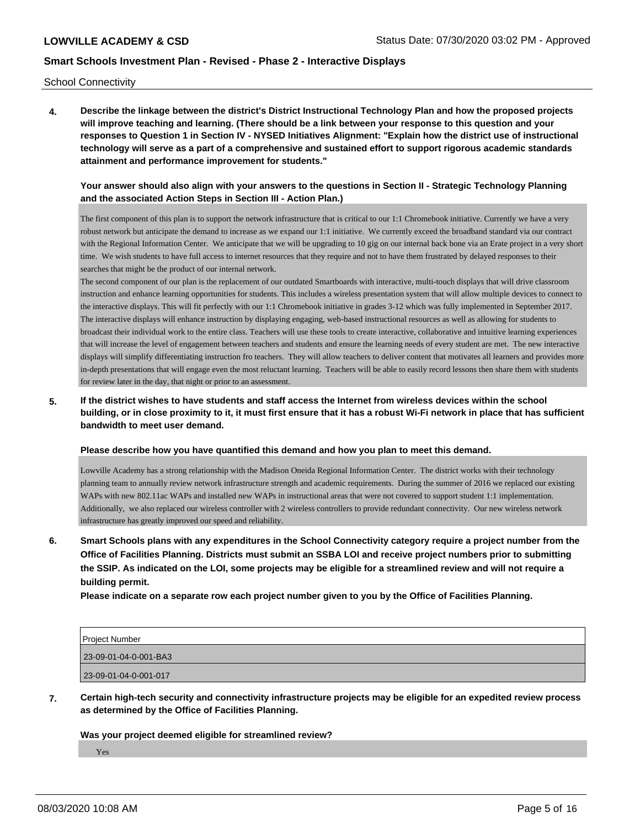School Connectivity

**4. Describe the linkage between the district's District Instructional Technology Plan and how the proposed projects will improve teaching and learning. (There should be a link between your response to this question and your responses to Question 1 in Section IV - NYSED Initiatives Alignment: "Explain how the district use of instructional technology will serve as a part of a comprehensive and sustained effort to support rigorous academic standards attainment and performance improvement for students."** 

#### **Your answer should also align with your answers to the questions in Section II - Strategic Technology Planning and the associated Action Steps in Section III - Action Plan.)**

The first component of this plan is to support the network infrastructure that is critical to our 1:1 Chromebook initiative. Currently we have a very robust network but anticipate the demand to increase as we expand our 1:1 initiative. We currently exceed the broadband standard via our contract with the Regional Information Center. We anticipate that we will be upgrading to 10 gig on our internal back bone via an Erate project in a very short time. We wish students to have full access to internet resources that they require and not to have them frustrated by delayed responses to their searches that might be the product of our internal network.

The second component of our plan is the replacement of our outdated Smartboards with interactive, multi-touch displays that will drive classroom instruction and enhance learning opportunities for students. This includes a wireless presentation system that will allow multiple devices to connect to the interactive displays. This will fit perfectly with our 1:1 Chromebook initiative in grades 3-12 which was fully implemented in September 2017. The interactive displays will enhance instruction by displaying engaging, web-based instructional resources as well as allowing for students to broadcast their individual work to the entire class. Teachers will use these tools to create interactive, collaborative and intuitive learning experiences that will increase the level of engagement between teachers and students and ensure the learning needs of every student are met. The new interactive displays will simplify differentiating instruction fro teachers. They will allow teachers to deliver content that motivates all learners and provides more in-depth presentations that will engage even the most reluctant learning. Teachers will be able to easily record lessons then share them with students for review later in the day, that night or prior to an assessment.

**5. If the district wishes to have students and staff access the Internet from wireless devices within the school building, or in close proximity to it, it must first ensure that it has a robust Wi-Fi network in place that has sufficient bandwidth to meet user demand.**

**Please describe how you have quantified this demand and how you plan to meet this demand.**

Lowville Academy has a strong relationship with the Madison Oneida Regional Information Center. The district works with their technology planning team to annually review network infrastructure strength and academic requirements. During the summer of 2016 we replaced our existing WAPs with new 802.11ac WAPs and installed new WAPs in instructional areas that were not covered to support student 1:1 implementation. Additionally, we also replaced our wireless controller with 2 wireless controllers to provide redundant connectivity. Our new wireless network infrastructure has greatly improved our speed and reliability.

**6. Smart Schools plans with any expenditures in the School Connectivity category require a project number from the Office of Facilities Planning. Districts must submit an SSBA LOI and receive project numbers prior to submitting the SSIP. As indicated on the LOI, some projects may be eligible for a streamlined review and will not require a building permit.**

**Please indicate on a separate row each project number given to you by the Office of Facilities Planning.**

| Project Number        |  |
|-----------------------|--|
| 23-09-01-04-0-001-BA3 |  |
| 23-09-01-04-0-001-017 |  |

**7. Certain high-tech security and connectivity infrastructure projects may be eligible for an expedited review process as determined by the Office of Facilities Planning.**

#### **Was your project deemed eligible for streamlined review?**

Yes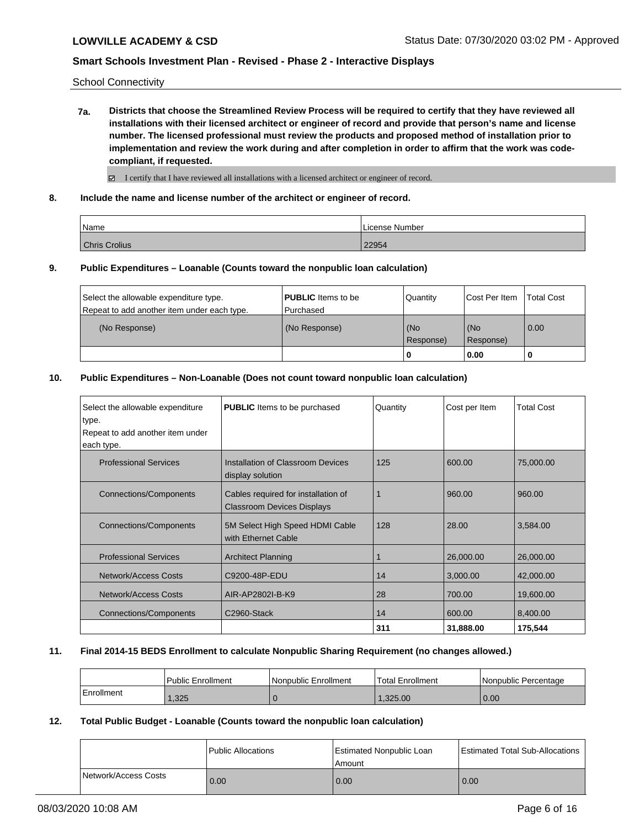School Connectivity

**7a. Districts that choose the Streamlined Review Process will be required to certify that they have reviewed all installations with their licensed architect or engineer of record and provide that person's name and license number. The licensed professional must review the products and proposed method of installation prior to implementation and review the work during and after completion in order to affirm that the work was codecompliant, if requested.**

 $\boxtimes$  I certify that I have reviewed all installations with a licensed architect or engineer of record.

**8. Include the name and license number of the architect or engineer of record.**

| Name                 | License Number |
|----------------------|----------------|
| <b>Chris Crolius</b> | 22954          |

#### **9. Public Expenditures – Loanable (Counts toward the nonpublic loan calculation)**

|                                             |                           | 0         | 0.00                 |                   |
|---------------------------------------------|---------------------------|-----------|----------------------|-------------------|
|                                             |                           | Response) | Response)            |                   |
| (No Response)                               | (No Response)             | (No       | (No                  | 0.00              |
| Repeat to add another item under each type. | l Purchased               |           |                      |                   |
| Select the allowable expenditure type.      | <b>PUBLIC</b> Items to be | Quantity  | <b>Cost Per Item</b> | <b>Total Cost</b> |

#### **10. Public Expenditures – Non-Loanable (Does not count toward nonpublic loan calculation)**

| Select the allowable expenditure<br>type.<br>Repeat to add another item under<br>each type. | <b>PUBLIC</b> Items to be purchased                                      | Quantity | Cost per Item | <b>Total Cost</b> |
|---------------------------------------------------------------------------------------------|--------------------------------------------------------------------------|----------|---------------|-------------------|
| <b>Professional Services</b>                                                                | Installation of Classroom Devices<br>display solution                    | 125      | 600.00        | 75,000.00         |
| <b>Connections/Components</b>                                                               | Cables required for installation of<br><b>Classroom Devices Displays</b> |          | 960.00        | 960.00            |
| Connections/Components                                                                      | 5M Select High Speed HDMI Cable<br>with Ethernet Cable                   | 128      | 28.00         | 3,584.00          |
| <b>Professional Services</b>                                                                | <b>Architect Planning</b>                                                |          | 26,000.00     | 26,000.00         |
| Network/Access Costs                                                                        | C9200-48P-EDU                                                            | 14       | 3,000.00      | 42,000.00         |
| Network/Access Costs                                                                        | AIR-AP2802I-B-K9                                                         | 28       | 700.00        | 19,600.00         |
| <b>Connections/Components</b>                                                               | C2960-Stack                                                              | 14       | 600.00        | 8,400.00          |
|                                                                                             |                                                                          | 311      | 31,888.00     | 175,544           |

#### **11. Final 2014-15 BEDS Enrollment to calculate Nonpublic Sharing Requirement (no changes allowed.)**

|            | Public Enrollment | Nonpublic Enrollment | <b>Total Enrollment</b> | Nonpublic Percentage |
|------------|-------------------|----------------------|-------------------------|----------------------|
| Enrollment | .325              |                      | 1.325.00                | 0.00                 |

#### **12. Total Public Budget - Loanable (Counts toward the nonpublic loan calculation)**

|                      | Public Allocations | Estimated Nonpublic Loan<br>Amount | Estimated Total Sub-Allocations |
|----------------------|--------------------|------------------------------------|---------------------------------|
| Network/Access Costs | 0.00               | 0.00                               | 0.00                            |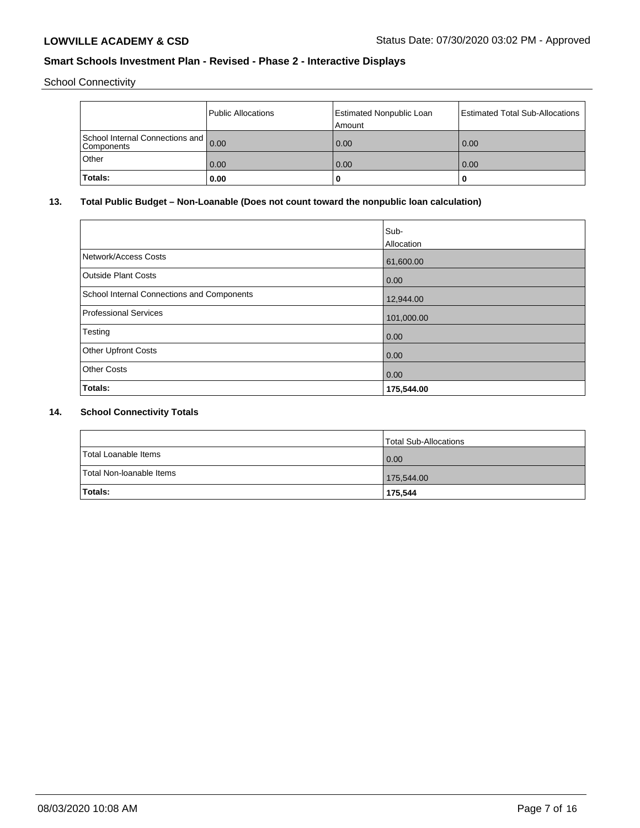School Connectivity

|                                                      | Public Allocations | <b>Estimated Nonpublic Loan</b><br>Amount | Estimated Total Sub-Allocations |
|------------------------------------------------------|--------------------|-------------------------------------------|---------------------------------|
| School Internal Connections and 0.00<br>l Components |                    | 0.00                                      | 0.00                            |
| Other                                                | 0.00               | 0.00                                      | 0.00                            |
| Totals:                                              | 0.00               |                                           | u                               |

## **13. Total Public Budget – Non-Loanable (Does not count toward the nonpublic loan calculation)**

|                                            | Sub-              |
|--------------------------------------------|-------------------|
|                                            | <b>Allocation</b> |
| Network/Access Costs                       | 61,600.00         |
| <b>Outside Plant Costs</b>                 | 0.00              |
| School Internal Connections and Components | 12,944.00         |
| Professional Services                      | 101,000.00        |
| Testing                                    | 0.00              |
| <b>Other Upfront Costs</b>                 | 0.00              |
| <b>Other Costs</b>                         | 0.00              |
| Totals:                                    | 175,544.00        |

## **14. School Connectivity Totals**

|                          | Total Sub-Allocations |
|--------------------------|-----------------------|
| Total Loanable Items     | $\overline{0.00}$     |
| Total Non-Ioanable Items | 175,544.00            |
| <b>Totals:</b>           | 175,544               |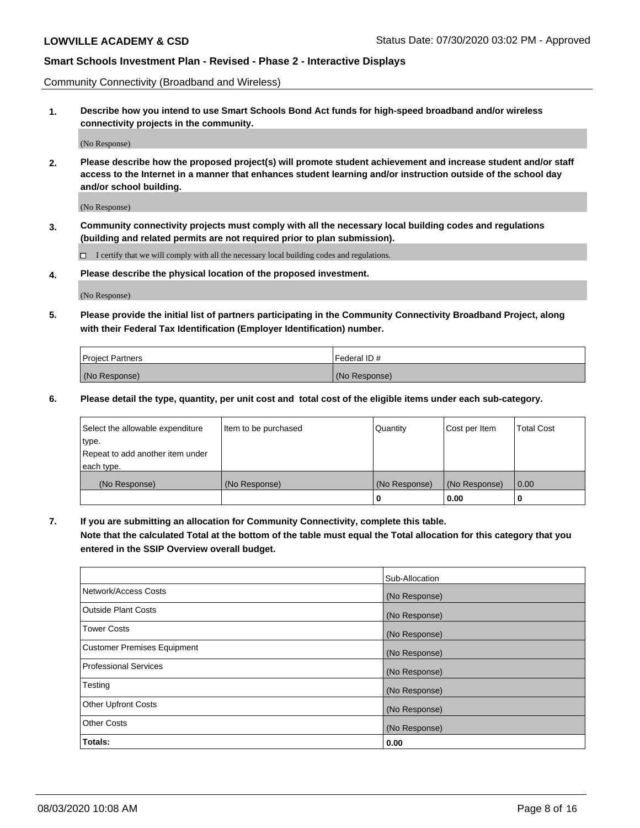Community Connectivity (Broadband and Wireless)

**1. Describe how you intend to use Smart Schools Bond Act funds for high-speed broadband and/or wireless connectivity projects in the community.**

(No Response)

**2. Please describe how the proposed project(s) will promote student achievement and increase student and/or staff access to the Internet in a manner that enhances student learning and/or instruction outside of the school day and/or school building.**

(No Response)

**3. Community connectivity projects must comply with all the necessary local building codes and regulations (building and related permits are not required prior to plan submission).**

 $\Box$  I certify that we will comply with all the necessary local building codes and regulations.

**4. Please describe the physical location of the proposed investment.**

(No Response)

**5. Please provide the initial list of partners participating in the Community Connectivity Broadband Project, along with their Federal Tax Identification (Employer Identification) number.**

| <b>Project Partners</b> | l Federal ID # |
|-------------------------|----------------|
| (No Response)           | (No Response)  |

**6. Please detail the type, quantity, per unit cost and total cost of the eligible items under each sub-category.**

| Select the allowable expenditure | Item to be purchased | Quantity      | Cost per Item | <b>Total Cost</b> |
|----------------------------------|----------------------|---------------|---------------|-------------------|
| type.                            |                      |               |               |                   |
| Repeat to add another item under |                      |               |               |                   |
| each type.                       |                      |               |               |                   |
| (No Response)                    | (No Response)        | (No Response) | (No Response) | 0.00              |
|                                  |                      | o             | 0.00          |                   |

**7. If you are submitting an allocation for Community Connectivity, complete this table.**

**Note that the calculated Total at the bottom of the table must equal the Total allocation for this category that you entered in the SSIP Overview overall budget.**

|                                    | Sub-Allocation |
|------------------------------------|----------------|
| Network/Access Costs               | (No Response)  |
| Outside Plant Costs                | (No Response)  |
| <b>Tower Costs</b>                 | (No Response)  |
| <b>Customer Premises Equipment</b> | (No Response)  |
| <b>Professional Services</b>       | (No Response)  |
| Testing                            | (No Response)  |
| <b>Other Upfront Costs</b>         | (No Response)  |
| <b>Other Costs</b>                 | (No Response)  |
| Totals:                            | 0.00           |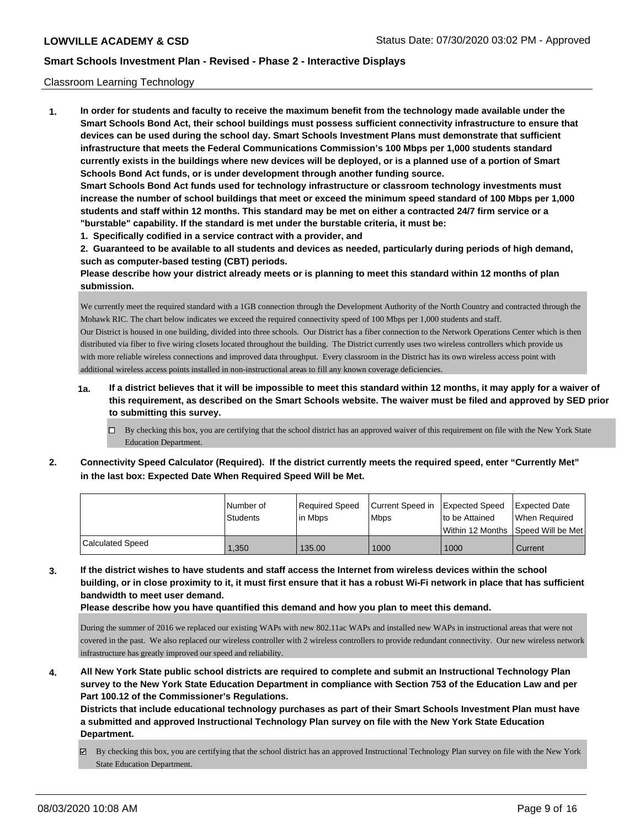#### Classroom Learning Technology

**1. In order for students and faculty to receive the maximum benefit from the technology made available under the Smart Schools Bond Act, their school buildings must possess sufficient connectivity infrastructure to ensure that devices can be used during the school day. Smart Schools Investment Plans must demonstrate that sufficient infrastructure that meets the Federal Communications Commission's 100 Mbps per 1,000 students standard currently exists in the buildings where new devices will be deployed, or is a planned use of a portion of Smart Schools Bond Act funds, or is under development through another funding source. Smart Schools Bond Act funds used for technology infrastructure or classroom technology investments must increase the number of school buildings that meet or exceed the minimum speed standard of 100 Mbps per 1,000 students and staff within 12 months. This standard may be met on either a contracted 24/7 firm service or a**

**"burstable" capability. If the standard is met under the burstable criteria, it must be:**

**1. Specifically codified in a service contract with a provider, and**

**2. Guaranteed to be available to all students and devices as needed, particularly during periods of high demand, such as computer-based testing (CBT) periods.**

**Please describe how your district already meets or is planning to meet this standard within 12 months of plan submission.**

We currently meet the required standard with a 1GB connection through the Development Authority of the North Country and contracted through the Mohawk RIC. The chart below indicates we exceed the required connectivity speed of 100 Mbps per 1,000 students and staff. Our District is housed in one building, divided into three schools. Our District has a fiber connection to the Network Operations Center which is then distributed via fiber to five wiring closets located throughout the building. The District currently uses two wireless controllers which provide us with more reliable wireless connections and improved data throughput. Every classroom in the District has its own wireless access point with additional wireless access points installed in non-instructional areas to fill any known coverage deficiencies.

- **1a. If a district believes that it will be impossible to meet this standard within 12 months, it may apply for a waiver of this requirement, as described on the Smart Schools website. The waiver must be filed and approved by SED prior to submitting this survey.**
	- By checking this box, you are certifying that the school district has an approved waiver of this requirement on file with the New York State Education Department.
- **2. Connectivity Speed Calculator (Required). If the district currently meets the required speed, enter "Currently Met" in the last box: Expected Date When Required Speed Will be Met.**

|                         | l Number of | Reauired Speed | Current Speed in Expected Speed | to be Attained                      | <b>Expected Date</b> |
|-------------------------|-------------|----------------|---------------------------------|-------------------------------------|----------------------|
|                         | Students    | l in Mbps      | <b>Mbps</b>                     | Within 12 Months 1Speed Will be Met | When Reauired        |
| <b>Calculated Speed</b> | .350        | 135.00         | 1000                            | 1000                                | Current              |

**3. If the district wishes to have students and staff access the Internet from wireless devices within the school building, or in close proximity to it, it must first ensure that it has a robust Wi-Fi network in place that has sufficient bandwidth to meet user demand.**

**Please describe how you have quantified this demand and how you plan to meet this demand.**

During the summer of 2016 we replaced our existing WAPs with new 802.11ac WAPs and installed new WAPs in instructional areas that were not covered in the past. We also replaced our wireless controller with 2 wireless controllers to provide redundant connectivity. Our new wireless network infrastructure has greatly improved our speed and reliability.

**4. All New York State public school districts are required to complete and submit an Instructional Technology Plan survey to the New York State Education Department in compliance with Section 753 of the Education Law and per Part 100.12 of the Commissioner's Regulations.**

**Districts that include educational technology purchases as part of their Smart Schools Investment Plan must have a submitted and approved Instructional Technology Plan survey on file with the New York State Education Department.**

By checking this box, you are certifying that the school district has an approved Instructional Technology Plan survey on file with the New York State Education Department.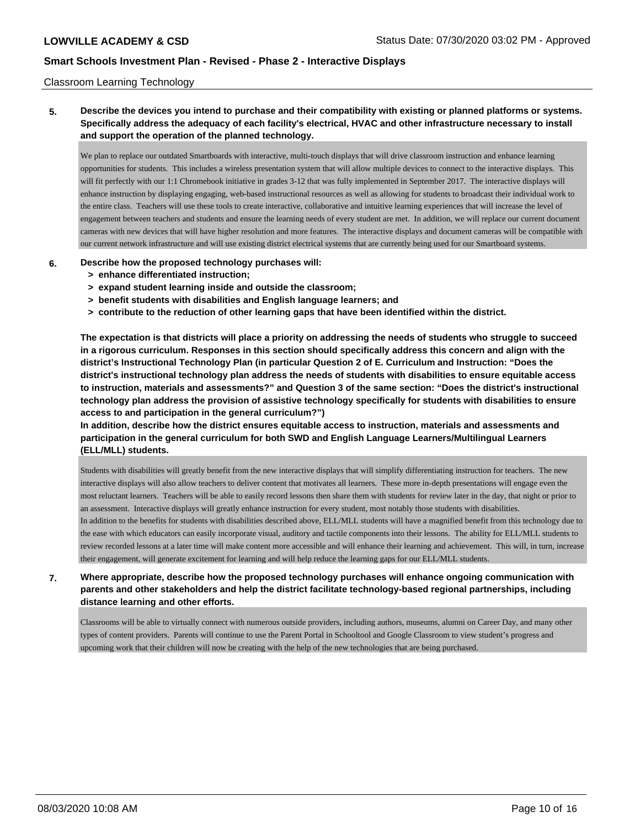#### Classroom Learning Technology

**5. Describe the devices you intend to purchase and their compatibility with existing or planned platforms or systems. Specifically address the adequacy of each facility's electrical, HVAC and other infrastructure necessary to install and support the operation of the planned technology.**

We plan to replace our outdated Smartboards with interactive, multi-touch displays that will drive classroom instruction and enhance learning opportunities for students. This includes a wireless presentation system that will allow multiple devices to connect to the interactive displays. This will fit perfectly with our 1:1 Chromebook initiative in grades 3-12 that was fully implemented in September 2017. The interactive displays will enhance instruction by displaying engaging, web-based instructional resources as well as allowing for students to broadcast their individual work to the entire class. Teachers will use these tools to create interactive, collaborative and intuitive learning experiences that will increase the level of engagement between teachers and students and ensure the learning needs of every student are met. In addition, we will replace our current document cameras with new devices that will have higher resolution and more features. The interactive displays and document cameras will be compatible with our current network infrastructure and will use existing district electrical systems that are currently being used for our Smartboard systems.

#### **6. Describe how the proposed technology purchases will:**

- **> enhance differentiated instruction;**
- **> expand student learning inside and outside the classroom;**
- **> benefit students with disabilities and English language learners; and**
- **> contribute to the reduction of other learning gaps that have been identified within the district.**

**The expectation is that districts will place a priority on addressing the needs of students who struggle to succeed in a rigorous curriculum. Responses in this section should specifically address this concern and align with the district's Instructional Technology Plan (in particular Question 2 of E. Curriculum and Instruction: "Does the district's instructional technology plan address the needs of students with disabilities to ensure equitable access to instruction, materials and assessments?" and Question 3 of the same section: "Does the district's instructional technology plan address the provision of assistive technology specifically for students with disabilities to ensure access to and participation in the general curriculum?")**

**In addition, describe how the district ensures equitable access to instruction, materials and assessments and participation in the general curriculum for both SWD and English Language Learners/Multilingual Learners (ELL/MLL) students.**

Students with disabilities will greatly benefit from the new interactive displays that will simplify differentiating instruction for teachers. The new interactive displays will also allow teachers to deliver content that motivates all learners. These more in-depth presentations will engage even the most reluctant learners. Teachers will be able to easily record lessons then share them with students for review later in the day, that night or prior to an assessment. Interactive displays will greatly enhance instruction for every student, most notably those students with disabilities. In addition to the benefits for students with disabilities described above, ELL/MLL students will have a magnified benefit from this technology due to

the ease with which educators can easily incorporate visual, auditory and tactile components into their lessons. The ability for ELL/MLL students to review recorded lessons at a later time will make content more accessible and will enhance their learning and achievement. This will, in turn, increase their engagement, will generate excitement for learning and will help reduce the learning gaps for our ELL/MLL students.

# **7. Where appropriate, describe how the proposed technology purchases will enhance ongoing communication with parents and other stakeholders and help the district facilitate technology-based regional partnerships, including distance learning and other efforts.**

Classrooms will be able to virtually connect with numerous outside providers, including authors, museums, alumni on Career Day, and many other types of content providers. Parents will continue to use the Parent Portal in Schooltool and Google Classroom to view student's progress and upcoming work that their children will now be creating with the help of the new technologies that are being purchased.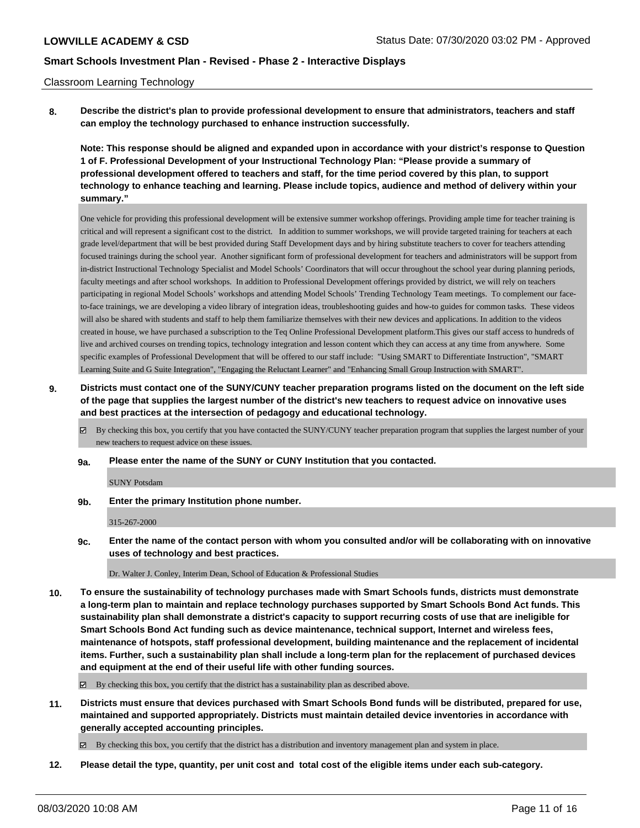#### Classroom Learning Technology

**8. Describe the district's plan to provide professional development to ensure that administrators, teachers and staff can employ the technology purchased to enhance instruction successfully.**

**Note: This response should be aligned and expanded upon in accordance with your district's response to Question 1 of F. Professional Development of your Instructional Technology Plan: "Please provide a summary of professional development offered to teachers and staff, for the time period covered by this plan, to support technology to enhance teaching and learning. Please include topics, audience and method of delivery within your summary."**

One vehicle for providing this professional development will be extensive summer workshop offerings. Providing ample time for teacher training is critical and will represent a significant cost to the district. In addition to summer workshops, we will provide targeted training for teachers at each grade level/department that will be best provided during Staff Development days and by hiring substitute teachers to cover for teachers attending focused trainings during the school year. Another significant form of professional development for teachers and administrators will be support from in-district Instructional Technology Specialist and Model Schools' Coordinators that will occur throughout the school year during planning periods, faculty meetings and after school workshops. In addition to Professional Development offerings provided by district, we will rely on teachers participating in regional Model Schools' workshops and attending Model Schools' Trending Technology Team meetings. To complement our faceto-face trainings, we are developing a video library of integration ideas, troubleshooting guides and how-to guides for common tasks. These videos will also be shared with students and staff to help them familiarize themselves with their new devices and applications. In addition to the videos created in house, we have purchased a subscription to the Teq Online Professional Development platform.This gives our staff access to hundreds of live and archived courses on trending topics, technology integration and lesson content which they can access at any time from anywhere. Some specific examples of Professional Development that will be offered to our staff include: "Using SMART to Differentiate Instruction", "SMART Learning Suite and G Suite Integration", "Engaging the Reluctant Learner" and "Enhancing Small Group Instruction with SMART".

- **9. Districts must contact one of the SUNY/CUNY teacher preparation programs listed on the document on the left side of the page that supplies the largest number of the district's new teachers to request advice on innovative uses and best practices at the intersection of pedagogy and educational technology.**
	- By checking this box, you certify that you have contacted the SUNY/CUNY teacher preparation program that supplies the largest number of your new teachers to request advice on these issues.
	- **9a. Please enter the name of the SUNY or CUNY Institution that you contacted.**

SUNY Potsdam

**9b. Enter the primary Institution phone number.**

315-267-2000

**9c. Enter the name of the contact person with whom you consulted and/or will be collaborating with on innovative uses of technology and best practices.**

Dr. Walter J. Conley, Interim Dean, School of Education & Professional Studies

**10. To ensure the sustainability of technology purchases made with Smart Schools funds, districts must demonstrate a long-term plan to maintain and replace technology purchases supported by Smart Schools Bond Act funds. This sustainability plan shall demonstrate a district's capacity to support recurring costs of use that are ineligible for Smart Schools Bond Act funding such as device maintenance, technical support, Internet and wireless fees, maintenance of hotspots, staff professional development, building maintenance and the replacement of incidental items. Further, such a sustainability plan shall include a long-term plan for the replacement of purchased devices and equipment at the end of their useful life with other funding sources.**

By checking this box, you certify that the district has a sustainability plan as described above.

**11. Districts must ensure that devices purchased with Smart Schools Bond funds will be distributed, prepared for use, maintained and supported appropriately. Districts must maintain detailed device inventories in accordance with generally accepted accounting principles.**

By checking this box, you certify that the district has a distribution and inventory management plan and system in place.

**12. Please detail the type, quantity, per unit cost and total cost of the eligible items under each sub-category.**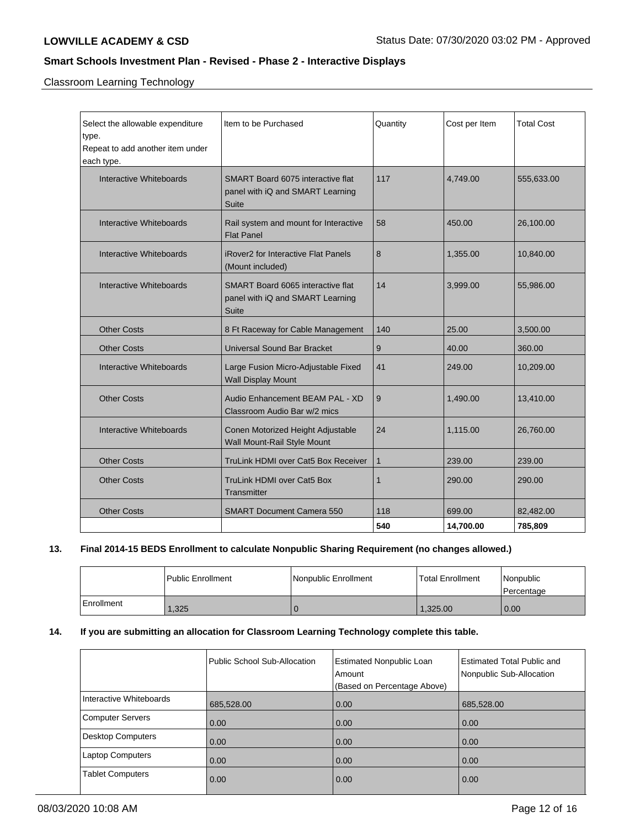Classroom Learning Technology

| Select the allowable expenditure<br>type.<br>Repeat to add another item under<br>each type. | Item to be Purchased                                                                         | Quantity     | Cost per Item | <b>Total Cost</b> |
|---------------------------------------------------------------------------------------------|----------------------------------------------------------------------------------------------|--------------|---------------|-------------------|
| Interactive Whiteboards                                                                     | <b>SMART Board 6075 interactive flat</b><br>panel with iQ and SMART Learning<br><b>Suite</b> | 117          | 4,749.00      | 555,633.00        |
| Interactive Whiteboards                                                                     | Rail system and mount for Interactive<br><b>Flat Panel</b>                                   | 58           | 450.00        | 26,100.00         |
| Interactive Whiteboards                                                                     | <b>iRover2</b> for Interactive Flat Panels<br>(Mount included)                               | 8            | 1.355.00      | 10,840.00         |
| Interactive Whiteboards                                                                     | SMART Board 6065 interactive flat<br>panel with iQ and SMART Learning<br>Suite               | 14           | 3,999.00      | 55,986.00         |
| <b>Other Costs</b>                                                                          | 8 Ft Raceway for Cable Management                                                            | 140          | 25.00         | 3,500.00          |
| <b>Other Costs</b>                                                                          | <b>Universal Sound Bar Bracket</b>                                                           | 9            | 40.00         | 360.00            |
| Interactive Whiteboards                                                                     | Large Fusion Micro-Adjustable Fixed<br><b>Wall Display Mount</b>                             | 41           | 249.00        | 10,209.00         |
| <b>Other Costs</b>                                                                          | Audio Enhancement BEAM PAL - XD<br>Classroom Audio Bar w/2 mics                              | 9            | 1,490.00      | 13,410.00         |
| Interactive Whiteboards                                                                     | Conen Motorized Height Adjustable<br>Wall Mount-Rail Style Mount                             | 24           | 1,115.00      | 26,760.00         |
| <b>Other Costs</b>                                                                          | TruLink HDMI over Cat5 Box Receiver                                                          | $\mathbf{1}$ | 239.00        | 239.00            |
| <b>Other Costs</b>                                                                          | TruLink HDMI over Cat5 Box<br>Transmitter                                                    | $\mathbf 1$  | 290.00        | 290.00            |
| <b>Other Costs</b>                                                                          | <b>SMART Document Camera 550</b>                                                             | 118          | 699.00        | 82,482.00         |
|                                                                                             |                                                                                              | 540          | 14.700.00     | 785,809           |

# **13. Final 2014-15 BEDS Enrollment to calculate Nonpublic Sharing Requirement (no changes allowed.)**

|              | l Public Enrollment | Nonpublic Enrollment | l Total Enrollment | Nonpublic<br>l Percentage |
|--------------|---------------------|----------------------|--------------------|---------------------------|
| l Enrollment | 1,325               |                      | 1,325.00           | $\overline{0.00}$         |

## **14. If you are submitting an allocation for Classroom Learning Technology complete this table.**

|                         | Public School Sub-Allocation | <b>Estimated Nonpublic Loan</b><br>Amount<br>(Based on Percentage Above) | <b>Estimated Total Public and</b><br>Nonpublic Sub-Allocation |
|-------------------------|------------------------------|--------------------------------------------------------------------------|---------------------------------------------------------------|
| Interactive Whiteboards | 685,528.00                   | 0.00                                                                     | 685,528.00                                                    |
| Computer Servers        | 0.00                         | 0.00                                                                     | 0.00                                                          |
| Desktop Computers       | 0.00                         | 0.00                                                                     | 0.00                                                          |
| Laptop Computers        | 0.00                         | 0.00                                                                     | 0.00                                                          |
| <b>Tablet Computers</b> | 0.00                         | 0.00                                                                     | 0.00                                                          |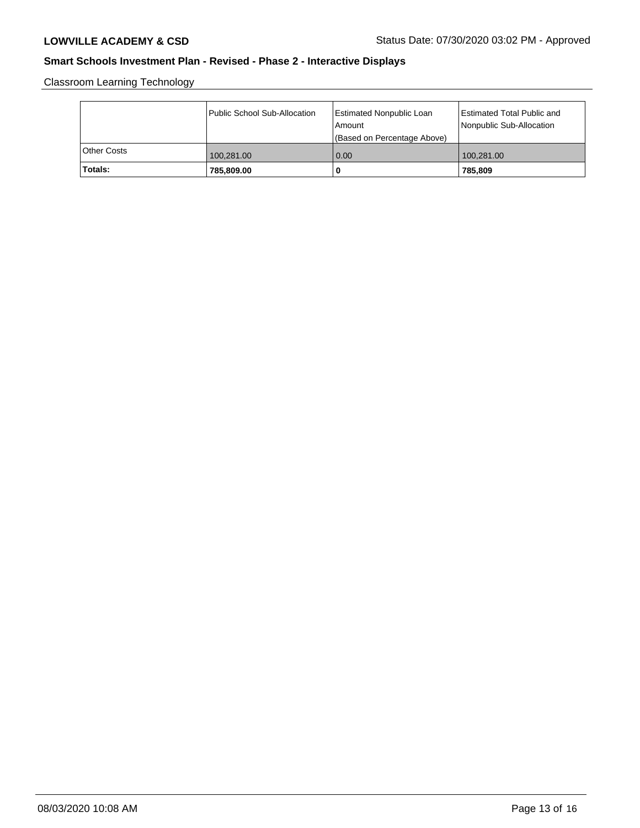Classroom Learning Technology

|             | Public School Sub-Allocation | Estimated Nonpublic Loan<br>l Amount<br>(Based on Percentage Above) | Estimated Total Public and<br>Nonpublic Sub-Allocation |
|-------------|------------------------------|---------------------------------------------------------------------|--------------------------------------------------------|
| Other Costs | 100,281.00                   | 0.00                                                                | 100,281.00                                             |
| Totals:     | 785,809.00                   | 0                                                                   | 785.809                                                |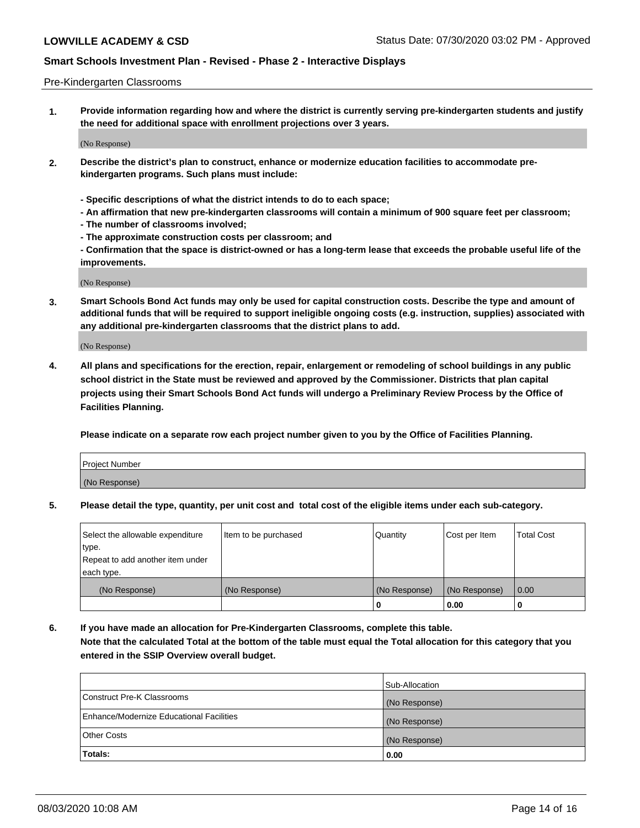#### Pre-Kindergarten Classrooms

**1. Provide information regarding how and where the district is currently serving pre-kindergarten students and justify the need for additional space with enrollment projections over 3 years.**

(No Response)

- **2. Describe the district's plan to construct, enhance or modernize education facilities to accommodate prekindergarten programs. Such plans must include:**
	- **Specific descriptions of what the district intends to do to each space;**
	- **An affirmation that new pre-kindergarten classrooms will contain a minimum of 900 square feet per classroom;**
	- **The number of classrooms involved;**
	- **The approximate construction costs per classroom; and**
	- **Confirmation that the space is district-owned or has a long-term lease that exceeds the probable useful life of the improvements.**

(No Response)

**3. Smart Schools Bond Act funds may only be used for capital construction costs. Describe the type and amount of additional funds that will be required to support ineligible ongoing costs (e.g. instruction, supplies) associated with any additional pre-kindergarten classrooms that the district plans to add.**

(No Response)

**4. All plans and specifications for the erection, repair, enlargement or remodeling of school buildings in any public school district in the State must be reviewed and approved by the Commissioner. Districts that plan capital projects using their Smart Schools Bond Act funds will undergo a Preliminary Review Process by the Office of Facilities Planning.**

**Please indicate on a separate row each project number given to you by the Office of Facilities Planning.**

| Project Number |  |
|----------------|--|
| (No Response)  |  |
|                |  |

**5. Please detail the type, quantity, per unit cost and total cost of the eligible items under each sub-category.**

| Select the allowable expenditure | Item to be purchased | Quantity      | Cost per Item | <b>Total Cost</b> |
|----------------------------------|----------------------|---------------|---------------|-------------------|
| type.                            |                      |               |               |                   |
| Repeat to add another item under |                      |               |               |                   |
| each type.                       |                      |               |               |                   |
| (No Response)                    | (No Response)        | (No Response) | (No Response) | 0.00              |
|                                  |                      | υ             | 0.00          |                   |

**6. If you have made an allocation for Pre-Kindergarten Classrooms, complete this table. Note that the calculated Total at the bottom of the table must equal the Total allocation for this category that you entered in the SSIP Overview overall budget.**

|                                          | Sub-Allocation |
|------------------------------------------|----------------|
| Construct Pre-K Classrooms               | (No Response)  |
| Enhance/Modernize Educational Facilities | (No Response)  |
| <b>Other Costs</b>                       | (No Response)  |
| Totals:                                  | 0.00           |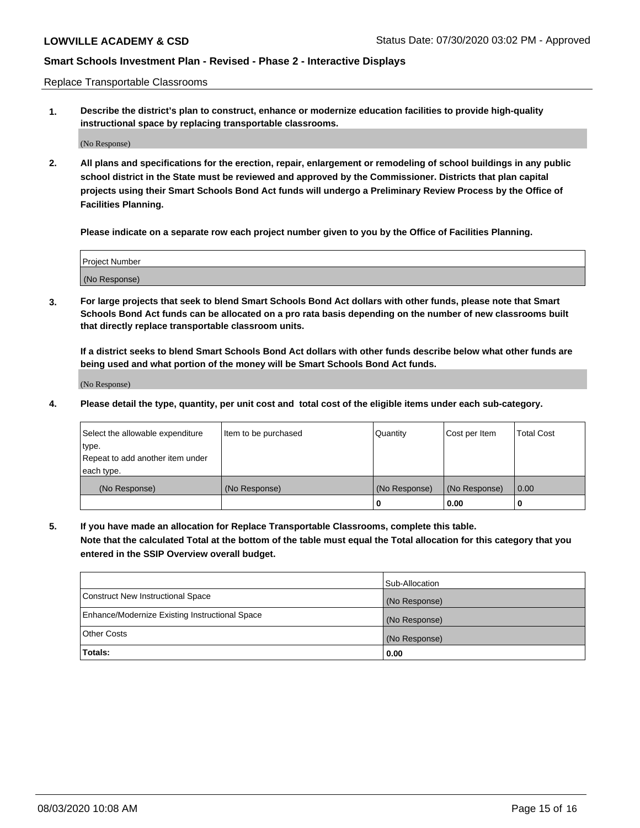Replace Transportable Classrooms

**1. Describe the district's plan to construct, enhance or modernize education facilities to provide high-quality instructional space by replacing transportable classrooms.**

(No Response)

**2. All plans and specifications for the erection, repair, enlargement or remodeling of school buildings in any public school district in the State must be reviewed and approved by the Commissioner. Districts that plan capital projects using their Smart Schools Bond Act funds will undergo a Preliminary Review Process by the Office of Facilities Planning.**

**Please indicate on a separate row each project number given to you by the Office of Facilities Planning.**

| Project Number |  |
|----------------|--|
|                |  |
| (No Response)  |  |

**3. For large projects that seek to blend Smart Schools Bond Act dollars with other funds, please note that Smart Schools Bond Act funds can be allocated on a pro rata basis depending on the number of new classrooms built that directly replace transportable classroom units.**

**If a district seeks to blend Smart Schools Bond Act dollars with other funds describe below what other funds are being used and what portion of the money will be Smart Schools Bond Act funds.**

(No Response)

**4. Please detail the type, quantity, per unit cost and total cost of the eligible items under each sub-category.**

| Select the allowable expenditure | Item to be purchased | Quantity      | Cost per Item | Total Cost |
|----------------------------------|----------------------|---------------|---------------|------------|
| ∣type.                           |                      |               |               |            |
| Repeat to add another item under |                      |               |               |            |
| each type.                       |                      |               |               |            |
| (No Response)                    | (No Response)        | (No Response) | (No Response) | 0.00       |
|                                  |                      | u             | 0.00          |            |

**5. If you have made an allocation for Replace Transportable Classrooms, complete this table. Note that the calculated Total at the bottom of the table must equal the Total allocation for this category that you entered in the SSIP Overview overall budget.**

|                                                | Sub-Allocation |
|------------------------------------------------|----------------|
| Construct New Instructional Space              | (No Response)  |
| Enhance/Modernize Existing Instructional Space | (No Response)  |
| Other Costs                                    | (No Response)  |
| Totals:                                        | 0.00           |